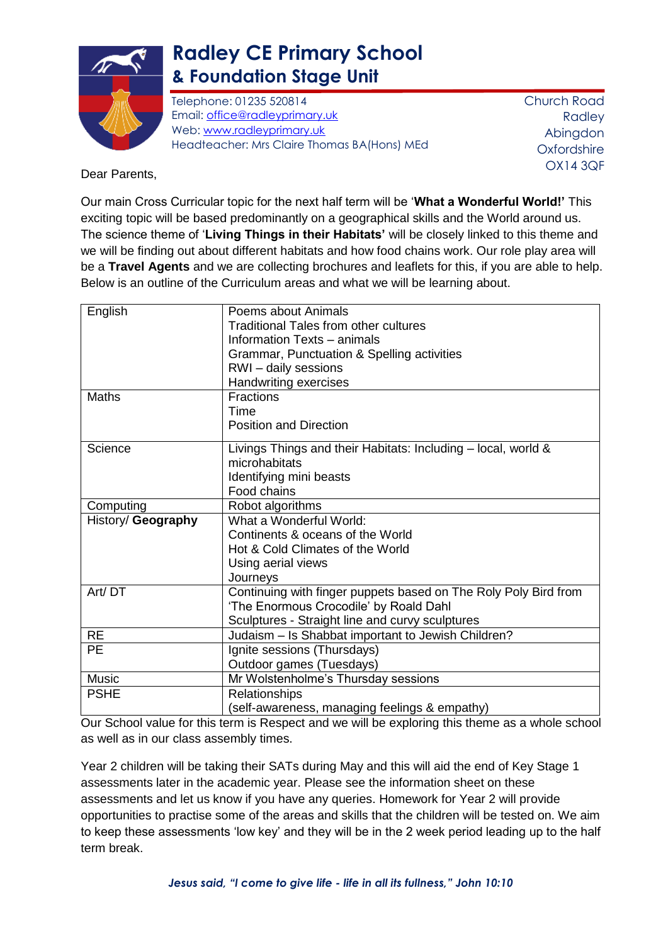

## **Radley CE Primary School & Foundation Stage Unit**

Telephone: 01235 520814 Email: [office@radleyprimary.uk](mailto:office@radleyprimary.uk) Web: [www.radleyprimary.uk](http://www.radleyprimary.uk/) Headteacher: Mrs Claire Thomas BA(Hons) MEd Church Road Radley Abingdon **Oxfordshire** OX14 3QF

Dear Parents,

Our main Cross Curricular topic for the next half term will be '**What a Wonderful World!'** This exciting topic will be based predominantly on a geographical skills and the World around us. The science theme of '**Living Things in their Habitats'** will be closely linked to this theme and we will be finding out about different habitats and how food chains work. Our role play area will be a **Travel Agents** and we are collecting brochures and leaflets for this, if you are able to help. Below is an outline of the Curriculum areas and what we will be learning about.

| English            | Poems about Animals                                             |
|--------------------|-----------------------------------------------------------------|
|                    | <b>Traditional Tales from other cultures</b>                    |
|                    | Information Texts - animals                                     |
|                    | Grammar, Punctuation & Spelling activities                      |
|                    | RWI-daily sessions                                              |
|                    | Handwriting exercises                                           |
| <b>Maths</b>       | <b>Fractions</b>                                                |
|                    | Time                                                            |
|                    | <b>Position and Direction</b>                                   |
| Science            | Livings Things and their Habitats: Including – local, world &   |
|                    | microhabitats                                                   |
|                    | Identifying mini beasts                                         |
|                    | Food chains                                                     |
| Computing          | Robot algorithms                                                |
| History/ Geography | What a Wonderful World:                                         |
|                    | Continents & oceans of the World                                |
|                    | Hot & Cold Climates of the World                                |
|                    | Using aerial views                                              |
|                    | Journeys                                                        |
| Art/DT             | Continuing with finger puppets based on The Roly Poly Bird from |
|                    | 'The Enormous Crocodile' by Roald Dahl                          |
|                    | Sculptures - Straight line and curvy sculptures                 |
| <b>RE</b>          | Judaism - Is Shabbat important to Jewish Children?              |
| <b>PE</b>          | Ignite sessions (Thursdays)                                     |
|                    | Outdoor games (Tuesdays)                                        |
| <b>Music</b>       | Mr Wolstenholme's Thursday sessions                             |
| <b>PSHE</b>        | Relationships                                                   |
|                    | (self-awareness, managing feelings & empathy)                   |

Our School value for this term is Respect and we will be exploring this theme as a whole school as well as in our class assembly times.

Year 2 children will be taking their SATs during May and this will aid the end of Key Stage 1 assessments later in the academic year. Please see the information sheet on these assessments and let us know if you have any queries. Homework for Year 2 will provide opportunities to practise some of the areas and skills that the children will be tested on. We aim to keep these assessments 'low key' and they will be in the 2 week period leading up to the half term break.